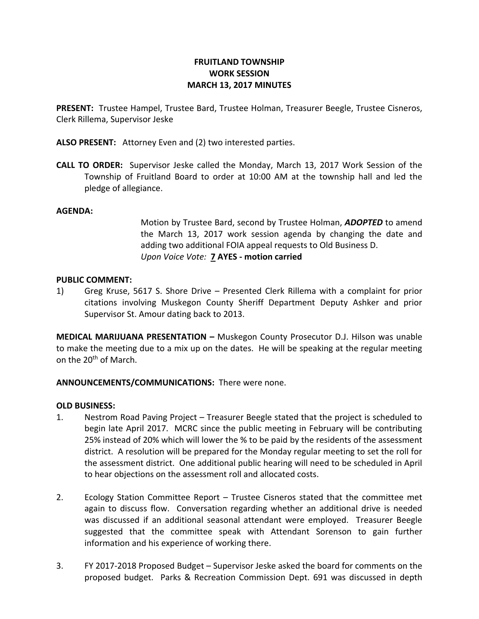# **FRUITLAND TOWNSHIP WORK SESSION MARCH 13, 2017 MINUTES**

**PRESENT:** Trustee Hampel, Trustee Bard, Trustee Holman, Treasurer Beegle, Trustee Cisneros, Clerk Rillema, Supervisor Jeske

**ALSO PRESENT:** Attorney Even and (2) two interested parties.

**CALL TO ORDER:** Supervisor Jeske called the Monday, March 13, 2017 Work Session of the Township of Fruitland Board to order at 10:00 AM at the township hall and led the pledge of allegiance.

### **AGENDA:**

Motion by Trustee Bard, second by Trustee Holman, *ADOPTED* to amend the March 13, 2017 work session agenda by changing the date and adding two additional FOIA appeal requests to Old Business D. *Upon Voice Vote:* **7 AYES - motion carried**

#### **PUBLIC COMMENT:**

1) Greg Kruse, 5617 S. Shore Drive – Presented Clerk Rillema with a complaint for prior citations involving Muskegon County Sheriff Department Deputy Ashker and prior Supervisor St. Amour dating back to 2013.

**MEDICAL MARIJUANA PRESENTATION –** Muskegon County Prosecutor D.J. Hilson was unable to make the meeting due to a mix up on the dates. He will be speaking at the regular meeting on the 20th of March.

### **ANNOUNCEMENTS/COMMUNICATIONS:** There were none.

### **OLD BUSINESS:**

- 1. Nestrom Road Paving Project Treasurer Beegle stated that the project is scheduled to begin late April 2017. MCRC since the public meeting in February will be contributing 25% instead of 20% which will lower the % to be paid by the residents of the assessment district. A resolution will be prepared for the Monday regular meeting to set the roll for the assessment district. One additional public hearing will need to be scheduled in April to hear objections on the assessment roll and allocated costs.
- 2. Ecology Station Committee Report Trustee Cisneros stated that the committee met again to discuss flow. Conversation regarding whether an additional drive is needed was discussed if an additional seasonal attendant were employed. Treasurer Beegle suggested that the committee speak with Attendant Sorenson to gain further information and his experience of working there.
- 3. FY 2017-2018 Proposed Budget Supervisor Jeske asked the board for comments on the proposed budget. Parks & Recreation Commission Dept. 691 was discussed in depth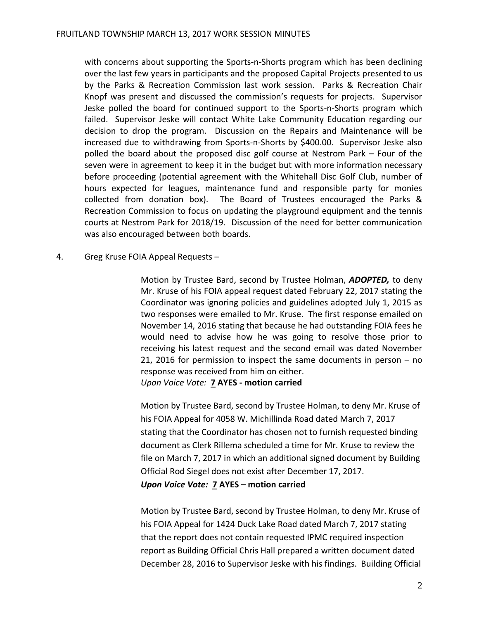with concerns about supporting the Sports-n-Shorts program which has been declining over the last few years in participants and the proposed Capital Projects presented to us by the Parks & Recreation Commission last work session. Parks & Recreation Chair Knopf was present and discussed the commission's requests for projects. Supervisor Jeske polled the board for continued support to the Sports-n-Shorts program which failed. Supervisor Jeske will contact White Lake Community Education regarding our decision to drop the program. Discussion on the Repairs and Maintenance will be increased due to withdrawing from Sports-n-Shorts by \$400.00. Supervisor Jeske also polled the board about the proposed disc golf course at Nestrom Park – Four of the seven were in agreement to keep it in the budget but with more information necessary before proceeding (potential agreement with the Whitehall Disc Golf Club, number of hours expected for leagues, maintenance fund and responsible party for monies collected from donation box). The Board of Trustees encouraged the Parks & Recreation Commission to focus on updating the playground equipment and the tennis courts at Nestrom Park for 2018/19. Discussion of the need for better communication was also encouraged between both boards.

### 4. Greg Kruse FOIA Appeal Requests –

Motion by Trustee Bard, second by Trustee Holman, *ADOPTED,* to deny Mr. Kruse of his FOIA appeal request dated February 22, 2017 stating the Coordinator was ignoring policies and guidelines adopted July 1, 2015 as two responses were emailed to Mr. Kruse. The first response emailed on November 14, 2016 stating that because he had outstanding FOIA fees he would need to advise how he was going to resolve those prior to receiving his latest request and the second email was dated November 21, 2016 for permission to inspect the same documents in person – no response was received from him on either. *Upon Voice Vote:* **7 AYES - motion carried**

Motion by Trustee Bard, second by Trustee Holman, to deny Mr. Kruse of his FOIA Appeal for 4058 W. Michillinda Road dated March 7, 2017 stating that the Coordinator has chosen not to furnish requested binding document as Clerk Rillema scheduled a time for Mr. Kruse to review the file on March 7, 2017 in which an additional signed document by Building Official Rod Siegel does not exist after December 17, 2017.

*Upon Voice Vote:* **7 AYES – motion carried**

Motion by Trustee Bard, second by Trustee Holman, to deny Mr. Kruse of his FOIA Appeal for 1424 Duck Lake Road dated March 7, 2017 stating that the report does not contain requested IPMC required inspection report as Building Official Chris Hall prepared a written document dated December 28, 2016 to Supervisor Jeske with his findings. Building Official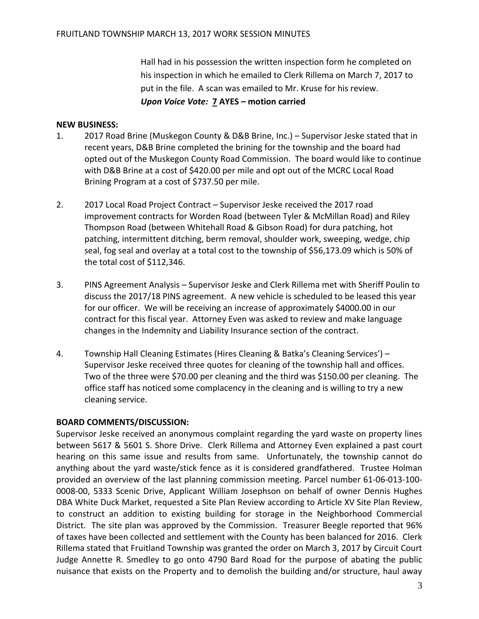Hall had in his possession the written inspection form he completed on his inspection in which he emailed to Clerk Rillema on March 7, 2017 to put in the file. A scan was emailed to Mr. Kruse for his review. *Upon Voice Vote:* **7 AYES – motion carried**

## **NEW BUSINESS:**

- 1. 2017 Road Brine (Muskegon County & D&B Brine, Inc.) Supervisor Jeske stated that in recent years, D&B Brine completed the brining for the township and the board had opted out of the Muskegon County Road Commission. The board would like to continue with D&B Brine at a cost of \$420.00 per mile and opt out of the MCRC Local Road Brining Program at a cost of \$737.50 per mile.
- 2. 2017 Local Road Project Contract Supervisor Jeske received the 2017 road improvement contracts for Worden Road (between Tyler & McMillan Road) and Riley Thompson Road (between Whitehall Road & Gibson Road) for dura patching, hot patching, intermittent ditching, berm removal, shoulder work, sweeping, wedge, chip seal, fog seal and overlay at a total cost to the township of \$56,173.09 which is 50% of the total cost of \$112,346.
- 3. PINS Agreement Analysis Supervisor Jeske and Clerk Rillema met with Sheriff Poulin to discuss the 2017/18 PINS agreement. A new vehicle is scheduled to be leased this year for our officer. We will be receiving an increase of approximately \$4000.00 in our contract for this fiscal year. Attorney Even was asked to review and make language changes in the Indemnity and Liability Insurance section of the contract.
- 4. Township Hall Cleaning Estimates (Hires Cleaning & Batka's Cleaning Services') Supervisor Jeske received three quotes for cleaning of the township hall and offices. Two of the three were \$70.00 per cleaning and the third was \$150.00 per cleaning. The office staff has noticed some complacency in the cleaning and is willing to try a new cleaning service.

# **BOARD COMMENTS/DISCUSSION:**

Supervisor Jeske received an anonymous complaint regarding the yard waste on property lines between 5617 & 5601 S. Shore Drive. Clerk Rillema and Attorney Even explained a past court hearing on this same issue and results from same. Unfortunately, the township cannot do anything about the yard waste/stick fence as it is considered grandfathered. Trustee Holman provided an overview of the last planning commission meeting. Parcel number 61-06-013-100- 0008-00, 5333 Scenic Drive, Applicant William Josephson on behalf of owner Dennis Hughes DBA White Duck Market, requested a Site Plan Review according to Article XV Site Plan Review, to construct an addition to existing building for storage in the Neighborhood Commercial District. The site plan was approved by the Commission. Treasurer Beegle reported that 96% of taxes have been collected and settlement with the County has been balanced for 2016. Clerk Rillema stated that Fruitland Township was granted the order on March 3, 2017 by Circuit Court Judge Annette R. Smedley to go onto 4790 Bard Road for the purpose of abating the public nuisance that exists on the Property and to demolish the building and/or structure, haul away